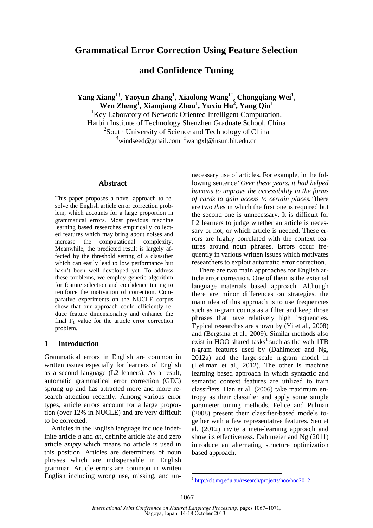# **Grammatical Error Correction Using Feature Selection**

# **and Confidence Tuning**

**Yang Xiang1† , Yaoyun Zhang<sup>1</sup> , Xiaolong Wang1‡ , Chongqiang Wei<sup>1</sup> , Wen Zheng<sup>1</sup> , Xiaoqiang Zhou<sup>1</sup> , Yuxiu Hu<sup>2</sup> , Yang Qin<sup>1</sup>**

<sup>1</sup>Key Laboratory of Network Oriented Intelligent Computation, Harbin Institute of Technology Shenzhen Graduate School, China <sup>2</sup>South University of Science and Technology of China **†**windseed@gmail.com **‡**wangxl@insun.hit.edu.cn

#### **Abstract**

This paper proposes a novel approach to resolve the English article error correction problem, which accounts for a large proportion in grammatical errors. Most previous machine learning based researches empirically collected features which may bring about noises and increase the computational complexity. Meanwhile, the predicted result is largely affected by the threshold setting of a classifier which can easily lead to low performance but hasn't been well developed yet. To address these problems, we employ genetic algorithm for feature selection and confidence tuning to reinforce the motivation of correction. Comparative experiments on the NUCLE corpus show that our approach could efficiently reduce feature dimensionality and enhance the final  $F_1$  value for the article error correction problem.

#### **1 Introduction**

Grammatical errors in English are common in written issues especially for learners of English as a second language (L2 leaners). As a result, automatic grammatical error correction (GEC) sprung up and has attracted more and more research attention recently. Among various error types, article errors account for a large proportion (over 12% in NUCLE) and are very difficult to be corrected.

Articles in the English language include indefinite article *a* and *an*, definite article *the* and zero article *empty* which means no article is used in this position. Articles are determiners of noun phrases which are indispensable in English grammar. Article errors are common in written English including wrong use, missing, and unnecessary use of articles. For example, in the following sentence*"Over these years, it had helped humans to improve the accessibility in the forms of cards to gain access to certain places."*there are two *the*s in which the first one is required but the second one is unnecessary. It is difficult for L2 learners to judge whether an article is necessary or not, or which article is needed. These errors are highly correlated with the context features around noun phrases. Errors occur frequently in various written issues which motivates researchers to exploit automatic error correction.

There are two main approaches for English article error correction. One of them is the external language materials based approach. Although there are minor differences on strategies, the main idea of this approach is to use frequencies such as n-gram counts as a filter and keep those phrases that have relatively high frequencies. Typical researches are shown by (Yi et al., 2008) and (Bergsma et al., 2009). Similar methods also exist in HOO shared tasks<sup>1</sup> such as the web  $1TB$ n-gram features used by (Dahlmeier and Ng, 2012a) and the large-scale n-gram model in (Heilman et al., 2012). The other is machine learning based approach in which syntactic and semantic context features are utilized to train classifiers. Han et al. (2006) take maximum entropy as their classifier and apply some simple parameter tuning methods. Felice and Pulman (2008) present their classifier-based models together with a few representative features. Seo et al. (2012) invite a meta-learning approach and show its effectiveness. Dahlmeier and Ng (2011) introduce an alternating structure optimization based approach.

<sup>1</sup> http://clt.mq.edu.au/research/projects/hoo/hoo2012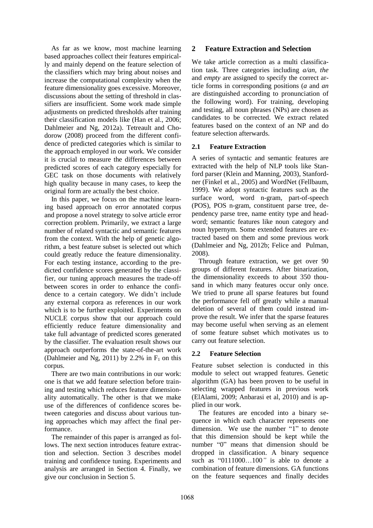As far as we know, most machine learning based approaches collect their features empirically and mainly depend on the feature selection of the classifiers which may bring about noises and increase the computational complexity when the feature dimensionality goes excessive. Moreover, discussions about the setting of threshold in classifiers are insufficient. Some work made simple adjustments on predicted thresholds after training their classification models like (Han et al., 2006; Dahlmeier and Ng, 2012a). Tetreault and Chodorow (2008) proceed from the different confidence of predicted categories which is similar to the approach employed in our work. We consider it is crucial to measure the differences between predicted scores of each category especially for GEC task on those documents with relatively high quality because in many cases, to keep the original form are actually the best choice.

In this paper, we focus on the machine learning based approach on error annotated corpus and propose a novel strategy to solve article error correction problem. Primarily, we extract a large number of related syntactic and semantic features from the context. With the help of genetic algorithm, a best feature subset is selected out which could greatly reduce the feature dimensionality. For each testing instance, according to the predicted confidence scores generated by the classifier, our tuning approach measures the trade-off between scores in order to enhance the confidence to a certain category. We didn't include any external corpora as references in our work which is to be further exploited. Experiments on NUCLE corpus show that our approach could efficiently reduce feature dimensionality and take full advantage of predicted scores generated by the classifier. The evaluation result shows our approach outperforms the state-of-the-art work (Dahlmeier and Ng, 2011) by 2.2% in  $F_1$  on this corpus.

There are two main contributions in our work: one is that we add feature selection before training and testing which reduces feature dimensionality automatically. The other is that we make use of the differences of confidence scores between categories and discuss about various tuning approaches which may affect the final performance.

The remainder of this paper is arranged as follows. The next section introduces feature extraction and selection. Section 3 describes model training and confidence tuning. Experiments and analysis are arranged in Section 4. Finally, we give our conclusion in Section 5.

# **2 Feature Extraction and Selection**

We take article correction as a multi classification task. Three categories including *a/an, the* and *empty* are assigned to specify the correct article forms in corresponding positions (*a* and *an* are distinguished according to pronunciation of the following word). For training, developing and testing, all noun phrases (NPs) are chosen as candidates to be corrected. We extract related features based on the context of an NP and do feature selection afterwards.

### **2.1 Feature Extraction**

A series of syntactic and semantic features are extracted with the help of NLP tools like Stanford parser (Klein and Manning, 2003), Stanfordner (Finkel et al., 2005) and WordNet (Fellbaum, 1999). We adopt syntactic features such as the surface word, word n-gram, part-of-speech (POS), POS n-gram, constituent parse tree, dependency parse tree, name entity type and headword; semantic features like noun category and noun hypernym. Some extended features are extracted based on them and some previous work (Dahlmeier and Ng, 2012b; Felice and Pulman, 2008).

Through feature extraction, we get over 90 groups of different features. After binarization, the dimensionality exceeds to about 350 thousand in which many features occur only once. We tried to prune all sparse features but found the performance fell off greatly while a manual deletion of several of them could instead improve the result. We infer that the sparse features may become useful when serving as an element of some feature subset which motivates us to carry out feature selection.

## **2.2 Feature Selection**

Feature subset selection is conducted in this module to select out wrapped features. Genetic algorithm (GA) has been proven to be useful in selecting wrapped features in previous work (ElAlami, 2009; Anbarasi et al, 2010) and is applied in our work.

The features are encoded into a binary sequence in which each character represents one dimension. We use the number "1" to denote that this dimension should be kept while the number "0" means that dimension should be dropped in classification. A binary sequence such as "0111000…100*"* is able to denote a combination of feature dimensions. GA functions on the feature sequences and finally decides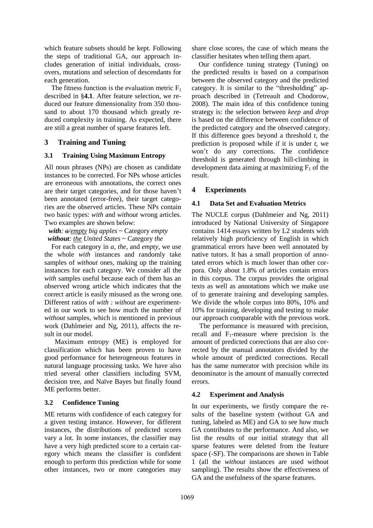which feature subsets should be kept. Following the steps of traditional GA, our approach includes generation of initial individuals, crossovers, mutations and selection of descendants for each generation.

The fitness function is the evaluation metric  $F_1$ described in §**4.1**. After feature selection, we reduced our feature dimensionality from 350 thousand to about 170 thousand which greatly reduced complexity in training. As expected, there are still a great number of sparse features left.

## **3 Training and Tuning**

### **3.1 Training Using Maximum Entropy**

All noun phrases (NPs) are chosen as candidate instances to be corrected. For NPs whose articles are erroneous with annotations, the correct ones are their target categories, and for those haven't been annotated (error-free), their target categories are the observed articles. These NPs contain two basic types: *with* and *without* wrong articles. Two examples are shown below:

### *with: a/empty big apples* ~ Category *empty without: the United States* ~ Category *the*

For each category in *a*, *the*, and *empty*, we use the whole *with* instances and randomly take samples of *without* ones, making up the training instances for each category. We consider all the *with* samples useful because each of them has an observed wrong article which indicates that the correct article is easily misused as the wrong one. Different ratios of *with : without* are experimented in our work to see how much the number of *without* samples, which is mentioned in previous work (Dahlmeier and Ng, 2011), affects the result in our model.

Maximum entropy (ME) is employed for classification which has been proven to have good performance for heterogeneous features in natural language processing tasks. We have also tried several other classifiers including SVM, decision tree, and Naïve Bayes but finally found ME performs better.

## **3.2 Confidence Tuning**

ME returns with confidence of each category for a given testing instance. However, for different instances, the distributions of predicted scores vary a lot. In some instances, the classifier may have a very high predicted score to a certain category which means the classifier is confident enough to perform this prediction while for some other instances, two or more categories may

share close scores, the case of which means the classifier hesitates when telling them apart.

Our confidence tuning strategy (Tuning) on the predicted results is based on a comparison between the observed category and the predicted category. It is similar to the "thresholding" approach described in (Tetreault and Chodorow, 2008). The main idea of this confidence tuning strategy is: the selection between *keep* and *drop* is based on the difference between confidence of the predicted category and the observed category. If this difference goes beyond a threshold *t*, the prediction is proposed while if it is under *t*, we won't do any corrections. The confidence threshold is generated through hill-climbing in development data aiming at maximizing  $F_1$  of the result.

# **4 Experiments**

## **4.1 Data Set and Evaluation Metrics**

The NUCLE corpus (Dahlmeier and Ng, 2011) introduced by National University of Singapore contains 1414 essays written by L2 students with relatively high proficiency of English in which grammatical errors have been well annotated by native tutors. It has a small proportion of annotated errors which is much lower than other corpora. Only about 1.8% of articles contain errors in this corpus. The corpus provides the original texts as well as annotations which we make use of to generate training and developing samples. We divide the whole corpus into 80%, 10% and 10% for training, developing and testing to make our approach comparable with the previous work.

The performance is measured with precision, recall and  $F_1$ -measure where precision is the amount of predicted corrections that are also corrected by the manual annotators divided by the whole amount of predicted corrections. Recall has the same numerator with precision while its denominator is the amount of manually corrected errors.

## **4.2 Experiment and Analysis**

In our experiments, we firstly compare the results of the baseline system (without GA and tuning, labeled as ME) and GA to see how much GA contributes to the performance. And also, we list the results of our initial strategy that all sparse features were deleted from the feature space (-SF). The comparisons are shown in Table 1 (all the *without* instances are used without sampling). The results show the effectiveness of GA and the usefulness of the sparse features.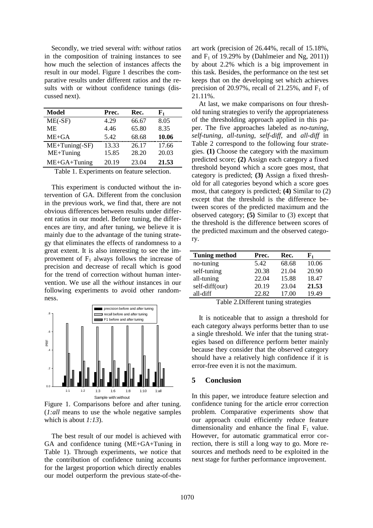Secondly, we tried several *with*: *without* ratios in the composition of training instances to see how much the selection of instances affects the result in our model. Figure 1 describes the comparative results under different ratios and the results with or without confidence tunings (discussed next).

| Model              | Prec. | Rec.  | ${\bf F_1}$ |
|--------------------|-------|-------|-------------|
| $ME(-SF)$          | 4.29  | 66.67 | 8.05        |
| <b>ME</b>          | 4.46  | 65.80 | 8.35        |
| $ME + GA$          | 5.42  | 68.68 | 10.06       |
| $ME+Tuning(-SF)$   | 13.33 | 26.17 | 17.66       |
| $ME+Tuning$        | 15.85 | 28.20 | 20.03       |
| $ME + GA + Tuning$ | 20.19 | 23.04 | 21.53       |

Table 1. Experiments on feature selection.

This experiment is conducted without the intervention of GA. Different from the conclusion in the previous work, we find that, there are not obvious differences between results under different ratios in our model. Before tuning, the differences are tiny, and after tuning, we believe it is mainly due to the advantage of the tuning strategy that eliminates the effects of randomness to a great extent. It is also interesting to see the improvement of  $F_1$  always follows the increase of precision and decrease of recall which is good for the trend of correction without human intervention. We use all the *without* instances in our following experiments to avoid other randomness.



Figure 1. Comparisons before and after tuning. (*1:all* means to use the whole negative samples which is about *1:13*).

The best result of our model is achieved with GA and confidence tuning (ME+GA+Tuning in Table 1). Through experiments, we notice that the contribution of confidence tuning accounts for the largest proportion which directly enables our model outperform the previous state-of-theart work (precision of 26.44%, recall of 15.18%, and  $F_1$  of 19.29% by (Dahlmeier and Ng, 2011)) by about 2.2% which is a big improvement in this task. Besides, the performance on the test set keeps that on the developing set which achieves precision of 20.97%, recall of 21.25%, and  $F_1$  of 21.11%.

At last, we make comparisons on four threshold tuning strategies to verify the appropriateness of the thresholding approach applied in this paper. The five approaches labeled as *no-tuning*, *self-tuning*, *all-tuning*, *self-diff*, and *all-diff* in Table 2 correspond to the following four strategies. **(1)** Choose the category with the maximum predicted score; **(2)** Assign each category a fixed threshold beyond which a score goes most, that category is predicted; **(3)** Assign a fixed threshold for all categories beyond which a score goes most, that category is predicted; **(4)** Similar to (2) except that the threshold is the difference between scores of the predicted maximum and the observed category; **(5)** Similar to (3) except that the threshold is the difference between scores of the predicted maximum and the observed category.

| <b>Tuning method</b> | Prec. | Rec.  | F1    |
|----------------------|-------|-------|-------|
| no-tuning            | 5.42  | 68.68 | 10.06 |
| self-tuning          | 20.38 | 21.04 | 20.90 |
| all-tuning           | 22.04 | 15.88 | 18.47 |
| self-diff(our)       | 20.19 | 23.04 | 21.53 |
| all-diff             | 22.82 | 17.00 | 19.49 |

Table 2.Different tuning strategies

It is noticeable that to assign a threshold for each category always performs better than to use a single threshold. We infer that the tuning strategies based on difference perform better mainly because they consider that the observed category should have a relatively high confidence if it is error-free even it is not the maximum.

#### **5 Conclusion**

In this paper, we introduce feature selection and confidence tuning for the article error correction problem. Comparative experiments show that our approach could efficiently reduce feature dimensionality and enhance the final  $F_1$  value. However, for automatic grammatical error correction, there is still a long way to go. More resources and methods need to be exploited in the next stage for further performance improvement.